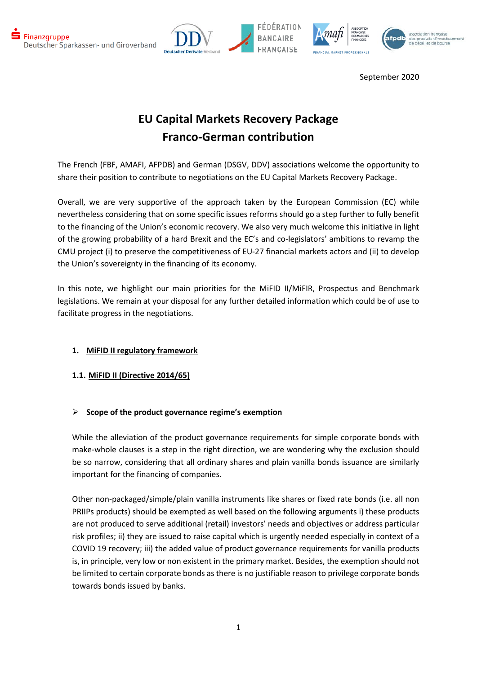





# **EU Capital Markets Recovery Package Franco-German contribution**

The French (FBF, AMAFI, AFPDB) and German (DSGV, DDV) associations welcome the opportunity to share their position to contribute to negotiations on the EU Capital Markets Recovery Package.

Overall, we are very supportive of the approach taken by the European Commission (EC) while nevertheless considering that on some specific issues reforms should go a step further to fully benefit to the financing of the Union's economic recovery. We also very much welcome this initiative in light of the growing probability of a hard Brexit and the EC's and co-legislators' ambitions to revamp the CMU project (i) to preserve the competitiveness of EU-27 financial markets actors and (ii) to develop the Union's sovereignty in the financing of its economy.

In this note, we highlight our main priorities for the MiFID II/MiFIR, Prospectus and Benchmark legislations. We remain at your disposal for any further detailed information which could be of use to facilitate progress in the negotiations.

# **1. MiFID II regulatory framework**

# **1.1. MiFID II (Directive 2014/65)**

# **Scope of the product governance regime's exemption**

While the alleviation of the product governance requirements for simple corporate bonds with make-whole clauses is a step in the right direction, we are wondering why the exclusion should be so narrow, considering that all ordinary shares and plain vanilla bonds issuance are similarly important for the financing of companies.

Other non-packaged/simple/plain vanilla instruments like shares or fixed rate bonds (i.e. all non PRIIPs products) should be exempted as well based on the following arguments i) these products are not produced to serve additional (retail) investors' needs and objectives or address particular risk profiles; ii) they are issued to raise capital which is urgently needed especially in context of a COVID 19 recovery; iii) the added value of product governance requirements for vanilla products is, in principle, very low or non existent in the primary market. Besides, the exemption should not be limited to certain corporate bonds as there is no justifiable reason to privilege corporate bonds towards bonds issued by banks.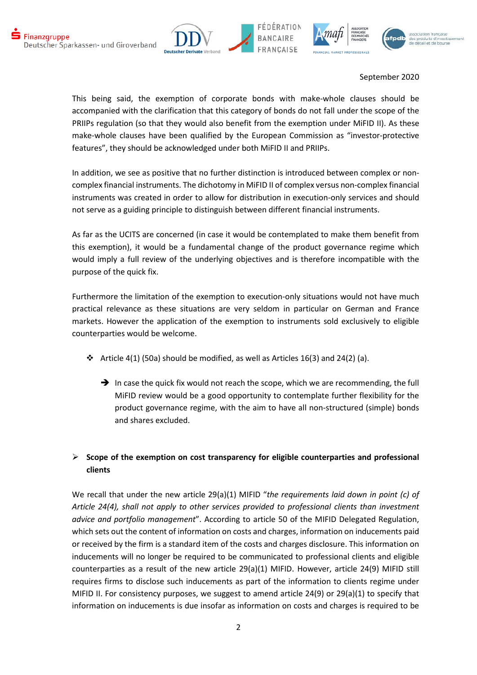





This being said, the exemption of corporate bonds with make-whole clauses should be accompanied with the clarification that this category of bonds do not fall under the scope of the PRIIPs regulation (so that they would also benefit from the exemption under MiFID II). As these make-whole clauses have been qualified by the European Commission as "investor-protective features", they should be acknowledged under both MiFID II and PRIIPs.

In addition, we see as positive that no further distinction is introduced between complex or noncomplex financial instruments. The dichotomy in MiFID II of complex versus non-complex financial instruments was created in order to allow for distribution in execution-only services and should not serve as a guiding principle to distinguish between different financial instruments.

As far as the UCITS are concerned (in case it would be contemplated to make them benefit from this exemption), it would be a fundamental change of the product governance regime which would imply a full review of the underlying objectives and is therefore incompatible with the purpose of the quick fix.

Furthermore the limitation of the exemption to execution-only situations would not have much practical relevance as these situations are very seldom in particular on German and France markets. However the application of the exemption to instruments sold exclusively to eligible counterparties would be welcome.

- $\cdot \cdot$  Article 4(1) (50a) should be modified, as well as Articles 16(3) and 24(2) (a).
	- $\rightarrow$  In case the quick fix would not reach the scope, which we are recommending, the full MiFID review would be a good opportunity to contemplate further flexibility for the product governance regime, with the aim to have all non-structured (simple) bonds and shares excluded.

# **Scope of the exemption on cost transparency for eligible counterparties and professional clients**

We recall that under the new article 29(a)(1) MIFID "*the requirements laid down in point (c) of Article 24(4), shall not apply to other services provided to professional clients than investment advice and portfolio management*". According to article 50 of the MIFID Delegated Regulation, which sets out the content of information on costs and charges, information on inducements paid or received by the firm is a standard item of the costs and charges disclosure. This information on inducements will no longer be required to be communicated to professional clients and eligible counterparties as a result of the new article 29(a)(1) MIFID. However, article 24(9) MIFID still requires firms to disclose such inducements as part of the information to clients regime under MIFID II. For consistency purposes, we suggest to amend article 24(9) or 29(a)(1) to specify that information on inducements is due insofar as information on costs and charges is required to be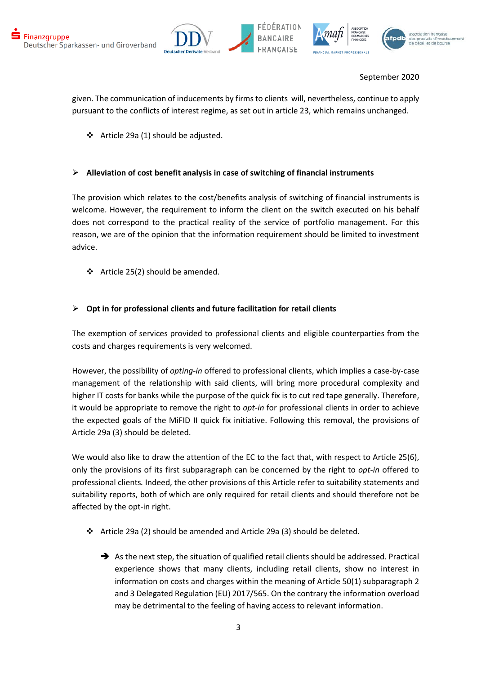





given. The communication of inducements by firms to clients will, nevertheless, continue to apply pursuant to the conflicts of interest regime, as set out in article 23, which remains unchanged.

Article 29a (1) should be adjusted.

# **Alleviation of cost benefit analysis in case of switching of financial instruments**

The provision which relates to the cost/benefits analysis of switching of financial instruments is welcome. However, the requirement to inform the client on the switch executed on his behalf does not correspond to the practical reality of the service of portfolio management. For this reason, we are of the opinion that the information requirement should be limited to investment advice.

 $\div$  Article 25(2) should be amended.

## **Opt in for professional clients and future facilitation for retail clients**

The exemption of services provided to professional clients and eligible counterparties from the costs and charges requirements is very welcomed.

However, the possibility of *opting-in* offered to professional clients, which implies a case-by-case management of the relationship with said clients, will bring more procedural complexity and higher IT costs for banks while the purpose of the quick fix is to cut red tape generally. Therefore, it would be appropriate to remove the right to *opt-in* for professional clients in order to achieve the expected goals of the MiFID II quick fix initiative. Following this removal, the provisions of Article 29a (3) should be deleted.

We would also like to draw the attention of the EC to the fact that, with respect to Article 25(6), only the provisions of its first subparagraph can be concerned by the right to *opt-in* offered to professional clients*.* Indeed, the other provisions of this Article refer to suitability statements and suitability reports, both of which are only required for retail clients and should therefore not be affected by the opt-in right.

- Article 29a (2) should be amended and Article 29a (3) should be deleted.
	- $\rightarrow$  As the next step, the situation of qualified retail clients should be addressed. Practical experience shows that many clients, including retail clients, show no interest in information on costs and charges within the meaning of Article 50(1) subparagraph 2 and 3 Delegated Regulation (EU) 2017/565. On the contrary the information overload may be detrimental to the feeling of having access to relevant information.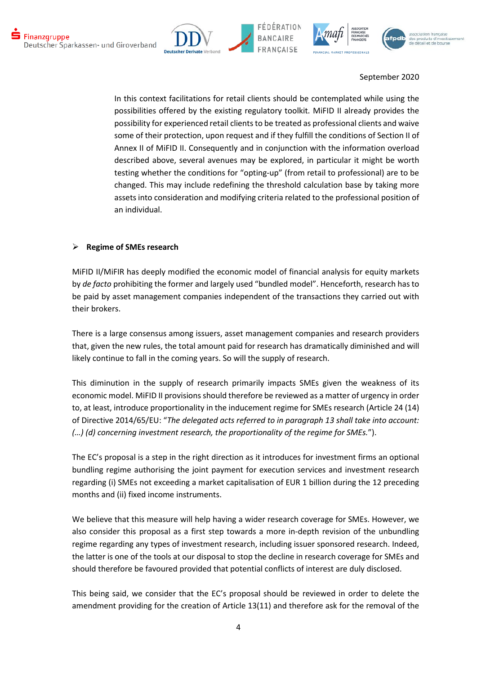







In this context facilitations for retail clients should be contemplated while using the possibilities offered by the existing regulatory toolkit. MiFID II already provides the possibility for experienced retail clients to be treated as professional clients and waive some of their protection, upon request and if they fulfill the conditions of Section II of Annex II of MiFID II. Consequently and in conjunction with the information overload described above, several avenues may be explored, in particular it might be worth testing whether the conditions for "opting-up" (from retail to professional) are to be changed. This may include redefining the threshold calculation base by taking more assets into consideration and modifying criteria related to the professional position of an individual.

#### **Regime of SMEs research**

MiFID II/MiFIR has deeply modified the economic model of financial analysis for equity markets by *de facto* prohibiting the former and largely used "bundled model". Henceforth, research has to be paid by asset management companies independent of the transactions they carried out with their brokers.

There is a large consensus among issuers, asset management companies and research providers that, given the new rules, the total amount paid for research has dramatically diminished and will likely continue to fall in the coming years. So will the supply of research.

This diminution in the supply of research primarily impacts SMEs given the weakness of its economic model. MiFID II provisions should therefore be reviewed as a matter of urgency in order to, at least, introduce proportionality in the inducement regime for SMEs research (Article 24 (14) of Directive 2014/65/EU: "*The delegated acts referred to in paragraph 13 shall take into account: (…) (d) concerning investment research, the proportionality of the regime for SMEs.*").

The EC's proposal is a step in the right direction as it introduces for investment firms an optional bundling regime authorising the joint payment for execution services and investment research regarding (i) SMEs not exceeding a market capitalisation of EUR 1 billion during the 12 preceding months and (ii) fixed income instruments.

We believe that this measure will help having a wider research coverage for SMEs. However, we also consider this proposal as a first step towards a more in-depth revision of the unbundling regime regarding any types of investment research, including issuer sponsored research. Indeed, the latter is one of the tools at our disposal to stop the decline in research coverage for SMEs and should therefore be favoured provided that potential conflicts of interest are duly disclosed.

This being said, we consider that the EC's proposal should be reviewed in order to delete the amendment providing for the creation of Article 13(11) and therefore ask for the removal of the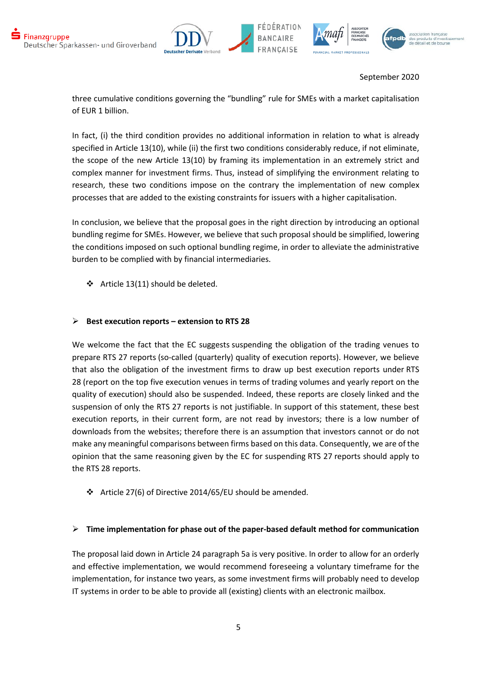





three cumulative conditions governing the "bundling" rule for SMEs with a market capitalisation of EUR 1 billion.

In fact, (i) the third condition provides no additional information in relation to what is already specified in Article 13(10), while (ii) the first two conditions considerably reduce, if not eliminate, the scope of the new Article 13(10) by framing its implementation in an extremely strict and complex manner for investment firms. Thus, instead of simplifying the environment relating to research, these two conditions impose on the contrary the implementation of new complex processes that are added to the existing constraints for issuers with a higher capitalisation.

In conclusion, we believe that the proposal goes in the right direction by introducing an optional bundling regime for SMEs. However, we believe that such proposal should be simplified, lowering the conditions imposed on such optional bundling regime, in order to alleviate the administrative burden to be complied with by financial intermediaries.

 $\div$  Article 13(11) should be deleted.

## **Best execution reports – extension to RTS 28**

We welcome the fact that the EC suggests suspending the obligation of the trading venues to prepare RTS 27 reports (so-called (quarterly) quality of execution reports). However, we believe that also the obligation of the investment firms to draw up best execution reports under RTS 28 (report on the top five execution venues in terms of trading volumes and yearly report on the quality of execution) should also be suspended. Indeed, these reports are closely linked and the suspension of only the RTS 27 reports is not justifiable. In support of this statement, these best execution reports, in their current form, are not read by investors; there is a low number of downloads from the websites; therefore there is an assumption that investors cannot or do not make any meaningful comparisons between firms based on this data. Consequently, we are of the opinion that the same reasoning given by the EC for suspending RTS 27 reports should apply to the RTS 28 reports.

 $\cdot$  Article 27(6) of Directive 2014/65/EU should be amended.

#### **Time implementation for phase out of the paper-based default method for communication**

The proposal laid down in Article 24 paragraph 5a is very positive. In order to allow for an orderly and effective implementation, we would recommend foreseeing a voluntary timeframe for the implementation, for instance two years, as some investment firms will probably need to develop IT systems in order to be able to provide all (existing) clients with an electronic mailbox.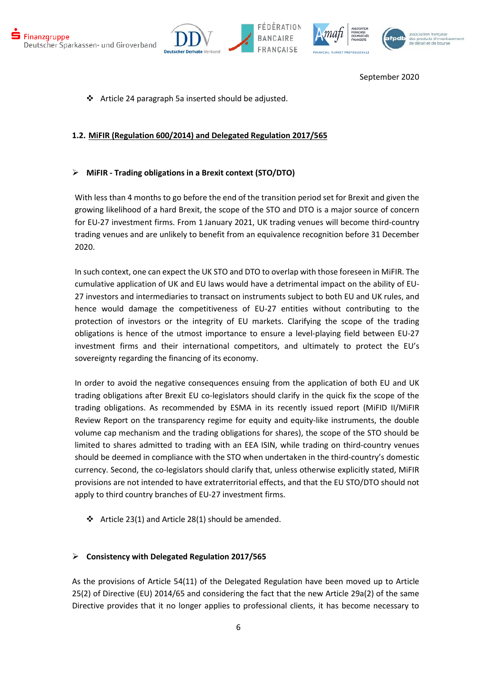





Article 24 paragraph 5a inserted should be adjusted.

## **1.2. MiFIR (Regulation 600/2014) and Delegated Regulation 2017/565**

## **MiFIR - Trading obligations in a Brexit context (STO/DTO)**

With less than 4 months to go before the end of the transition period set for Brexit and given the growing likelihood of a hard Brexit, the scope of the STO and DTO is a major source of concern for EU-27 investment firms. From 1 January 2021, UK trading venues will become third-country trading venues and are unlikely to benefit from an equivalence recognition before 31 December 2020.

In such context, one can expect the UK STO and DTO to overlap with those foreseen in MiFIR. The cumulative application of UK and EU laws would have a detrimental impact on the ability of EU-27 investors and intermediaries to transact on instruments subject to both EU and UK rules, and hence would damage the competitiveness of EU-27 entities without contributing to the protection of investors or the integrity of EU markets. Clarifying the scope of the trading obligations is hence of the utmost importance to ensure a level-playing field between EU-27 investment firms and their international competitors, and ultimately to protect the EU's sovereignty regarding the financing of its economy.

In order to avoid the negative consequences ensuing from the application of both EU and UK trading obligations after Brexit EU co-legislators should clarify in the quick fix the scope of the trading obligations. As recommended by ESMA in its recently issued report (MiFID II/MiFIR Review Report on the transparency regime for equity and equity-like instruments, the double volume cap mechanism and the trading obligations for shares), the scope of the STO should be limited to shares admitted to trading with an EEA ISIN, while trading on third-country venues should be deemed in compliance with the STO when undertaken in the third-country's domestic currency. Second, the co-legislators should clarify that, unless otherwise explicitly stated, MiFIR provisions are not intended to have extraterritorial effects, and that the EU STO/DTO should not apply to third country branches of EU-27 investment firms.

 $\cdot$  Article 23(1) and Article 28(1) should be amended.

#### **Consistency with Delegated Regulation 2017/565**

As the provisions of Article 54(11) of the Delegated Regulation have been moved up to Article 25(2) of Directive (EU) 2014/65 and considering the fact that the new Article 29a(2) of the same Directive provides that it no longer applies to professional clients, it has become necessary to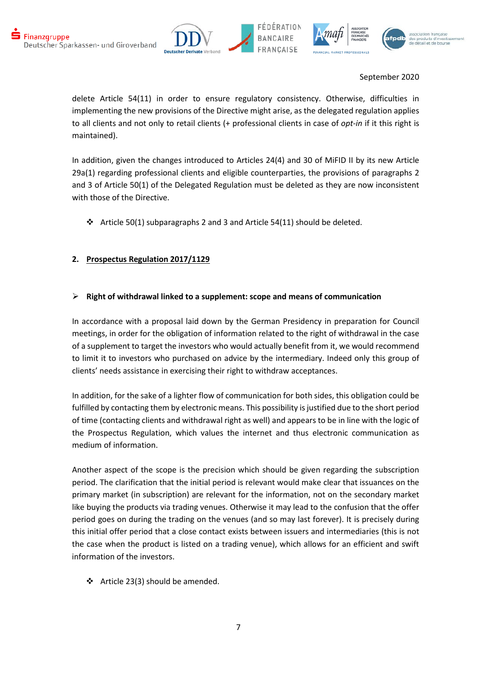





delete Article 54(11) in order to ensure regulatory consistency. Otherwise, difficulties in implementing the new provisions of the Directive might arise, as the delegated regulation applies to all clients and not only to retail clients (+ professional clients in case of *opt-in* if it this right is maintained).

In addition, given the changes introduced to Articles 24(4) and 30 of MiFID II by its new Article 29a(1) regarding professional clients and eligible counterparties, the provisions of paragraphs 2 and 3 of Article 50(1) of the Delegated Regulation must be deleted as they are now inconsistent with those of the Directive.

 $\cdot \cdot$  Article 50(1) subparagraphs 2 and 3 and Article 54(11) should be deleted.

# **2. Prospectus Regulation 2017/1129**

## **Right of withdrawal linked to a supplement: scope and means of communication**

In accordance with a proposal laid down by the German Presidency in preparation for Council meetings, in order for the obligation of information related to the right of withdrawal in the case of a supplement to target the investors who would actually benefit from it, we would recommend to limit it to investors who purchased on advice by the intermediary. Indeed only this group of clients' needs assistance in exercising their right to withdraw acceptances.

In addition, for the sake of a lighter flow of communication for both sides, this obligation could be fulfilled by contacting them by electronic means. This possibility is justified due to the short period of time (contacting clients and withdrawal right as well) and appears to be in line with the logic of the Prospectus Regulation, which values the internet and thus electronic communication as medium of information.

Another aspect of the scope is the precision which should be given regarding the subscription period. The clarification that the initial period is relevant would make clear that issuances on the primary market (in subscription) are relevant for the information, not on the secondary market like buying the products via trading venues. Otherwise it may lead to the confusion that the offer period goes on during the trading on the venues (and so may last forever). It is precisely during this initial offer period that a close contact exists between issuers and intermediaries (this is not the case when the product is listed on a trading venue), which allows for an efficient and swift information of the investors.

 $\div$  Article 23(3) should be amended.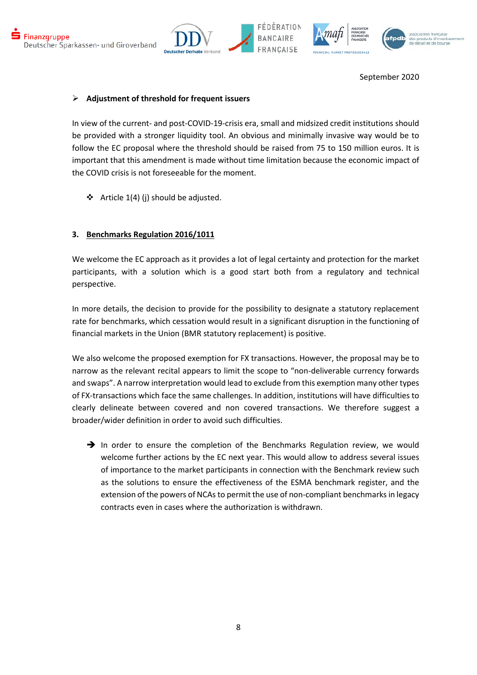





## **Adjustment of threshold for frequent issuers**

In view of the current- and post-COVID-19-crisis era, small and midsized credit institutions should be provided with a stronger liquidity tool. An obvious and minimally invasive way would be to follow the EC proposal where the threshold should be raised from 75 to 150 million euros. It is important that this amendment is made without time limitation because the economic impact of the COVID crisis is not foreseeable for the moment.

 $\triangleleft$  Article 1(4) (j) should be adjusted.

## **3. Benchmarks Regulation 2016/1011**

We welcome the EC approach as it provides a lot of legal certainty and protection for the market participants, with a solution which is a good start both from a regulatory and technical perspective.

In more details, the decision to provide for the possibility to designate a statutory replacement rate for benchmarks, which cessation would result in a significant disruption in the functioning of financial markets in the Union (BMR statutory replacement) is positive.

We also welcome the proposed exemption for FX transactions. However, the proposal may be to narrow as the relevant recital appears to limit the scope to "non-deliverable currency forwards and swaps". A narrow interpretation would lead to exclude from this exemption many other types of FX-transactions which face the same challenges. In addition, institutions will have difficulties to clearly delineate between covered and non covered transactions. We therefore suggest a broader/wider definition in order to avoid such difficulties.

 $\rightarrow$  In order to ensure the completion of the Benchmarks Regulation review, we would welcome further actions by the EC next year. This would allow to address several issues of importance to the market participants in connection with the Benchmark review such as the solutions to ensure the effectiveness of the ESMA benchmark register, and the extension of the powers of NCAs to permit the use of non-compliant benchmarks in legacy contracts even in cases where the authorization is withdrawn.